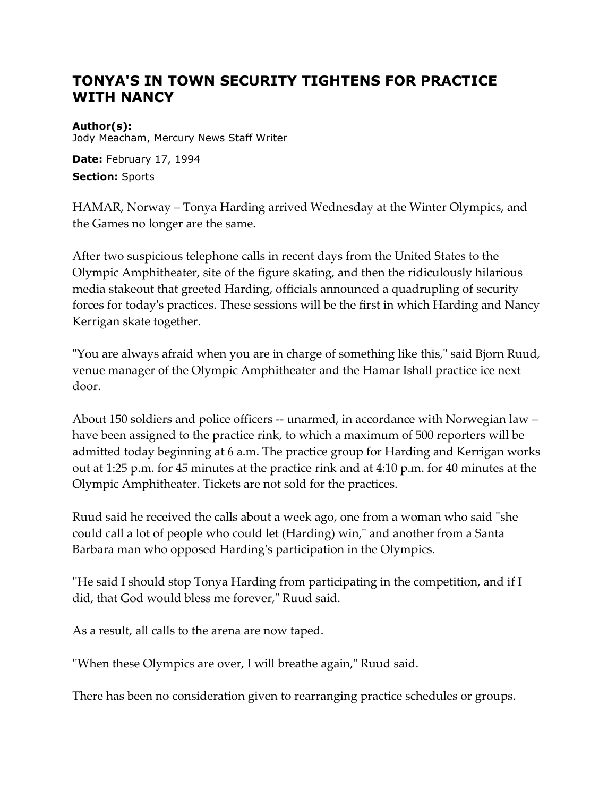## **TONYA'S IN TOWN SECURITY TIGHTENS FOR PRACTICE WITH NANCY**

## **Author(s):**

Jody Meacham, Mercury News Staff Writer

**Date:** February 17, 1994

**Section:** Sports

HAMAR, Norway – Tonya Harding arrived Wednesday at the Winter Olympics, and the Games no longer are the same.

After two suspicious telephone calls in recent days from the United States to the Olympic Amphitheater, site of the figure skating, and then the ridiculously hilarious media stakeout that greeted Harding, officials announced a quadrupling of security forces for today's practices. These sessions will be the first in which Harding and Nancy Kerrigan skate together.

"You are always afraid when you are in charge of something like this," said Bjorn Ruud, venue manager of the Olympic Amphitheater and the Hamar Ishall practice ice next door.

About 150 soldiers and police officers -- unarmed, in accordance with Norwegian law – have been assigned to the practice rink, to which a maximum of 500 reporters will be admitted today beginning at 6 a.m. The practice group for Harding and Kerrigan works out at 1:25 p.m. for 45 minutes at the practice rink and at 4:10 p.m. for 40 minutes at the Olympic Amphitheater. Tickets are not sold for the practices.

Ruud said he received the calls about a week ago, one from a woman who said "she could call a lot of people who could let (Harding) win," and another from a Santa Barbara man who opposed Harding's participation in the Olympics.

''He said I should stop Tonya Harding from participating in the competition, and if I did, that God would bless me forever," Ruud said.

As a result, all calls to the arena are now taped.

''When these Olympics are over, I will breathe again," Ruud said.

There has been no consideration given to rearranging practice schedules or groups.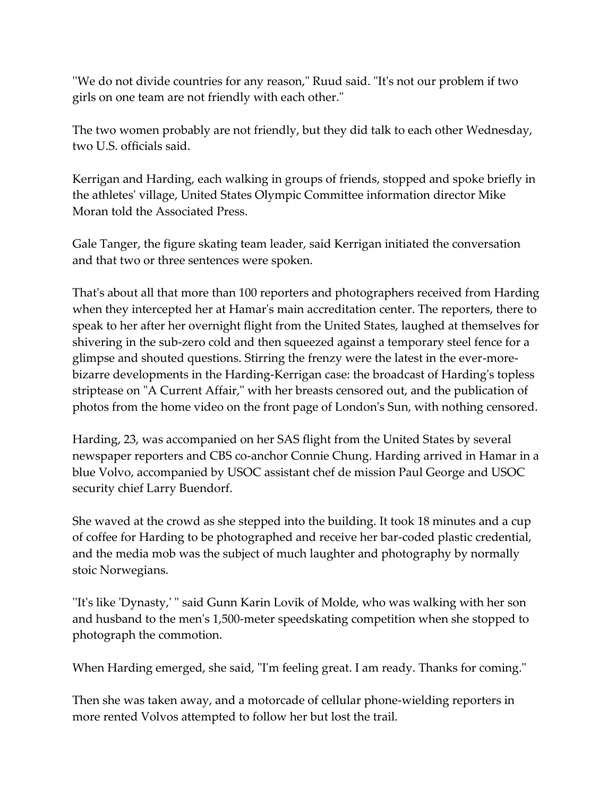''We do not divide countries for any reason," Ruud said. "It's not our problem if two girls on one team are not friendly with each other."

The two women probably are not friendly, but they did talk to each other Wednesday, two U.S. officials said.

Kerrigan and Harding, each walking in groups of friends, stopped and spoke briefly in the athletes' village, United States Olympic Committee information director Mike Moran told the Associated Press.

Gale Tanger, the figure skating team leader, said Kerrigan initiated the conversation and that two or three sentences were spoken.

That's about all that more than 100 reporters and photographers received from Harding when they intercepted her at Hamar's main accreditation center. The reporters, there to speak to her after her overnight flight from the United States, laughed at themselves for shivering in the sub-zero cold and then squeezed against a temporary steel fence for a glimpse and shouted questions. Stirring the frenzy were the latest in the ever-morebizarre developments in the Harding-Kerrigan case: the broadcast of Harding's topless striptease on "A Current Affair," with her breasts censored out, and the publication of photos from the home video on the front page of London's Sun, with nothing censored.

Harding, 23, was accompanied on her SAS flight from the United States by several newspaper reporters and CBS co-anchor Connie Chung. Harding arrived in Hamar in a blue Volvo, accompanied by USOC assistant chef de mission Paul George and USOC security chief Larry Buendorf.

She waved at the crowd as she stepped into the building. It took 18 minutes and a cup of coffee for Harding to be photographed and receive her bar-coded plastic credential, and the media mob was the subject of much laughter and photography by normally stoic Norwegians.

''It's like 'Dynasty,' " said Gunn Karin Lovik of Molde, who was walking with her son and husband to the men's 1,500-meter speedskating competition when she stopped to photograph the commotion.

When Harding emerged, she said, "I'm feeling great. I am ready. Thanks for coming."

Then she was taken away, and a motorcade of cellular phone-wielding reporters in more rented Volvos attempted to follow her but lost the trail.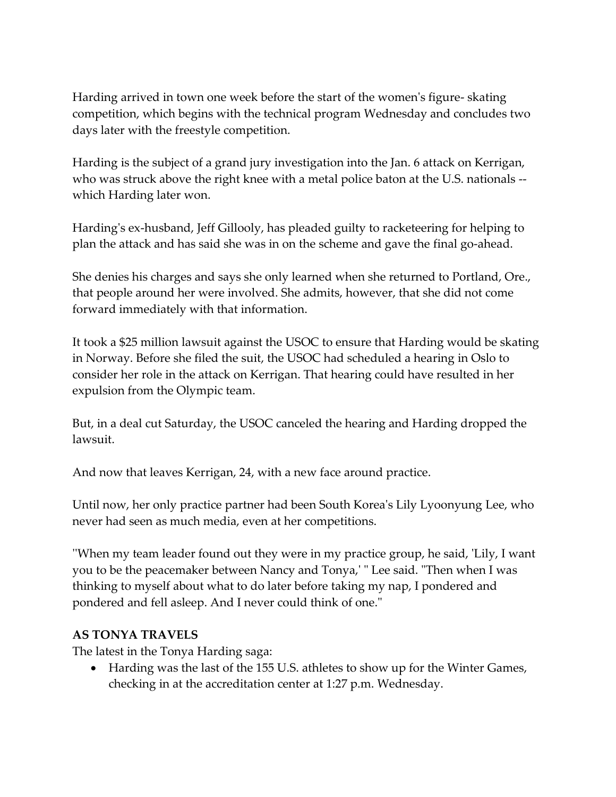Harding arrived in town one week before the start of the women's figure- skating competition, which begins with the technical program Wednesday and concludes two days later with the freestyle competition.

Harding is the subject of a grand jury investigation into the Jan. 6 attack on Kerrigan, who was struck above the right knee with a metal police baton at the U.S. nationals - which Harding later won.

Harding's ex-husband, Jeff Gillooly, has pleaded guilty to racketeering for helping to plan the attack and has said she was in on the scheme and gave the final go-ahead.

She denies his charges and says she only learned when she returned to Portland, Ore., that people around her were involved. She admits, however, that she did not come forward immediately with that information.

It took a \$25 million lawsuit against the USOC to ensure that Harding would be skating in Norway. Before she filed the suit, the USOC had scheduled a hearing in Oslo to consider her role in the attack on Kerrigan. That hearing could have resulted in her expulsion from the Olympic team.

But, in a deal cut Saturday, the USOC canceled the hearing and Harding dropped the lawsuit.

And now that leaves Kerrigan, 24, with a new face around practice.

Until now, her only practice partner had been South Korea's Lily Lyoonyung Lee, who never had seen as much media, even at her competitions.

''When my team leader found out they were in my practice group, he said, 'Lily, I want you to be the peacemaker between Nancy and Tonya,' " Lee said. "Then when I was thinking to myself about what to do later before taking my nap, I pondered and pondered and fell asleep. And I never could think of one."

## **AS TONYA TRAVELS**

The latest in the Tonya Harding saga:

 Harding was the last of the 155 U.S. athletes to show up for the Winter Games, checking in at the accreditation center at 1:27 p.m. Wednesday.